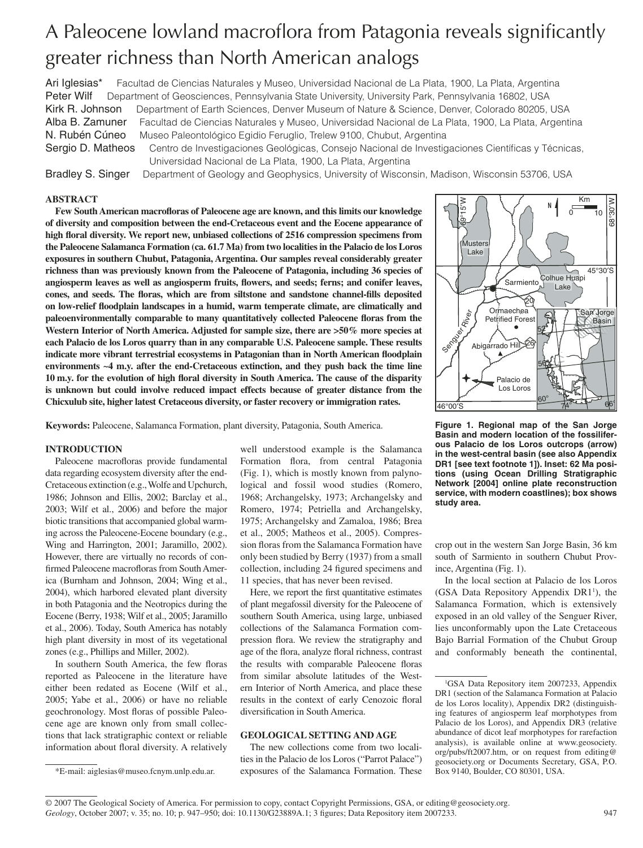# A Paleocene lowland macroflora from Patagonia reveals significantly greater richness than North American analogs

Ari Iglesias\* Facultad de Ciencias Naturales y Museo, Universidad Nacional de La Plata, 1900, La Plata, Argentina Peter Wilf Department of Geosciences, Pennsylvania State University, University Park, Pennsylvania 16802, USA Kirk R. Johnson Department of Earth Sciences, Denver Museum of Nature & Science, Denver, Colorado 80205, USA Alba B. Zamuner Facultad de Ciencias Naturales y Museo, Universidad Nacional de La Plata, 1900, La Plata, Argentina N. Rubén Cúneo Museo Paleontológico Egidio Feruglio, Trelew 9100, Chubut, Argentina

Sergio D. Matheos Centro de Investigaciones Geológicas, Consejo Nacional de Investigaciones Científicas y Técnicas, Universidad Nacional de La Plata, 1900, La Plata, Argentina

Bradley S. Singer Department of Geology and Geophysics, University of Wisconsin, Madison, Wisconsin 53706, USA

### **ABSTRACT**

Few South American macrofloras of Paleocene age are known, and this limits our knowledge **of diversity and composition between the end-Cretaceous event and the Eocene appearance of**  high floral diversity. We report new, unbiased collections of 2516 compression specimens from **the Paleocene Salamanca Formation (ca. 61.7 Ma) from two localities in the Palacio de los Loros exposures in southern Chubut, Patagonia, Argentina. Our samples reveal considerably greater richness than was previously known from the Paleocene of Patagonia, including 36 species of**  angiosperm leaves as well as angiosperm fruits, flowers, and seeds; ferns; and conifer leaves, cones, and seeds. The floras, which are from siltstone and sandstone channel-fills deposited on low-relief floodplain landscapes in a humid, warm temperate climate, are climatically and paleoenvironmentally comparable to many quantitatively collected Paleocene floras from the Western Interior of North America. Adjusted for sample size, there are  $>50\%$  more species at **each Palacio de los Loros quarry than in any comparable U.S. Paleocene sample. These results**  indicate more vibrant terrestrial ecosystems in Patagonian than in North American floodplain **environments ~4 m.y. after the end-Cretaceous extinction, and they push back the time line 10 m.y. for the evolution of high floral diversity in South America. The cause of the disparity is unknown but could involve reduced impact effects because of greater distance from the Chicxulub site, higher latest Cretaceous diversity, or faster recovery or immigration rates.**

**Keywords:** Paleocene, Salamanca Formation, plant diversity, Patagonia, South America.

### **INTRODUCTION**

Paleocene macrofloras provide fundamental data regarding ecosystem diversity after the end-Cretaceous extinction (e.g., Wolfe and Upchurch, 1986; Johnson and Ellis, 2002; Barclay et al., 2003; Wilf et al., 2006) and before the major biotic transitions that accompanied global warming across the Paleocene-Eocene boundary (e.g., Wing and Harrington, 2001; Jaramillo, 2002). However, there are virtually no records of confirmed Paleocene macrofloras from South America (Burnham and Johnson, 2004; Wing et al., 2004), which harbored elevated plant diversity in both Patagonia and the Neotropics during the Eocene (Berry, 1938; Wilf et al., 2005; Jaramillo et al., 2006). Today, South America has notably high plant diversity in most of its vegetational zones (e.g., Phillips and Miller, 2002).

In southern South America, the few floras reported as Paleocene in the literature have either been redated as Eocene (Wilf et al., 2005; Yabe et al., 2006) or have no reliable geochronology. Most floras of possible Paleocene age are known only from small collections that lack stratigraphic context or reliable information about floral diversity. A relatively well understood example is the Salamanca Formation flora, from central Patagonia (Fig. 1), which is mostly known from palynological and fossil wood studies (Romero, 1968; Archangelsky, 1973; Archangelsky and Romero, 1974; Petriella and Archangelsky, 1975; Archangelsky and Zamaloa, 1986; Brea et al., 2005; Matheos et al., 2005). Compression floras from the Salamanca Formation have only been studied by Berry (1937) from a small collection, including 24 figured specimens and 11 species, that has never been revised.

Here, we report the first quantitative estimates of plant megafossil diversity for the Paleocene of southern South America, using large, unbiased collections of the Salamanca Formation compression flora. We review the stratigraphy and age of the flora, analyze floral richness, contrast the results with comparable Paleocene floras from similar absolute latitudes of the Western Interior of North America, and place these results in the context of early Cenozoic floral diversification in South America.

### **GEOLOGICAL SETTING AND AGE**

The new collections come from two localities in the Palacio de los Loros ("Parrot Palace") \*E-mail: aiglesias@museo.fcnym.unlp.edu.ar. exposures of the Salamanca Formation. These Box 9140, Boulder, CO 80301, USA.



**Figure 1. Regional map of the San Jorge Basin and modern location of the fossiliferous Palacio de los Loros outcrops (arrow) in the west-central basin (see also Appendix DR1 [see text footnote 1]). Inset: 62 Ma positions (using Ocean Drilling Stratigraphic Network [2004] online plate reconstruction service, with modern coastlines); box shows study area.**

crop out in the western San Jorge Basin, 36 km south of Sarmiento in southern Chubut Province, Argentina (Fig. 1).

In the local section at Palacio de los Loros (GSA Data Repository Appendix DR1<sup>1</sup>), the Salamanca Formation, which is extensively exposed in an old valley of the Senguer River, lies unconformably upon the Late Cretaceous Bajo Barrial Formation of the Chubut Group and conformably beneath the continental,

<sup>1</sup> GSA Data Repository item 2007233, Appendix DR1 (section of the Salamanca Formation at Palacio de los Loros locality), Appendix DR2 (distinguishing features of angiosperm leaf morphotypes from Palacio de los Loros), and Appendix DR3 (relative abundance of dicot leaf morphotypes for rarefaction analysis), is available online at www.geosociety. org/pubs/ft2007.htm, or on request from editing@ geosociety.org or Documents Secretary, GSA, P.O.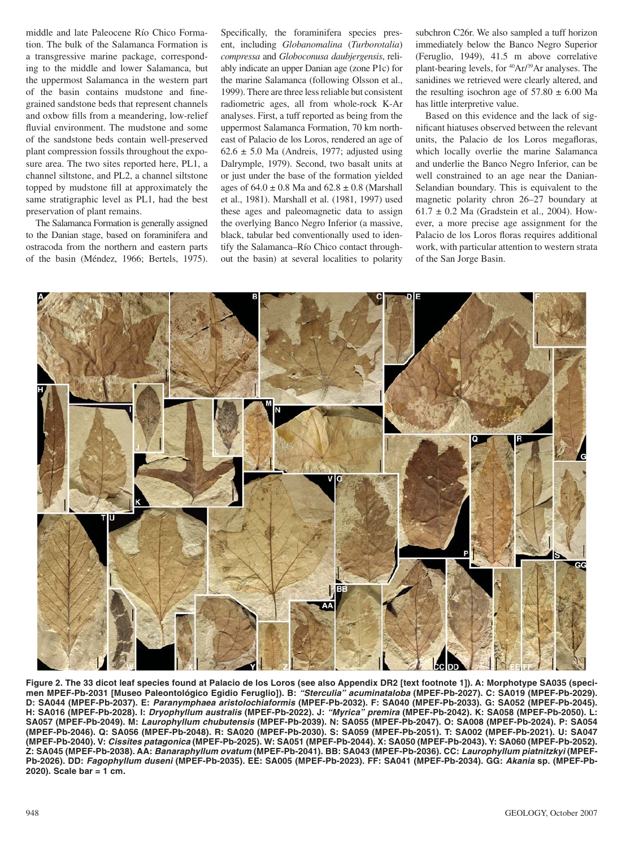middle and late Paleocene Río Chico Formation. The bulk of the Salamanca Formation is a transgressive marine package, corresponding to the middle and lower Salamanca, but the uppermost Salamanca in the western part of the basin contains mudstone and finegrained sandstone beds that represent channels and oxbow fills from a meandering, low-relief fluvial environment. The mudstone and some of the sandstone beds contain well-preserved plant compression fossils throughout the exposure area. The two sites reported here, PL1, a channel siltstone, and PL2, a channel siltstone topped by mudstone fill at approximately the same stratigraphic level as PL1, had the best preservation of plant remains.

The Salamanca Formation is generally assigned to the Danian stage, based on foraminifera and ostracoda from the northern and eastern parts of the basin (Méndez, 1966; Bertels, 1975).

Specifically, the foraminifera species present, including *Globanomalina* (*Turborotalia* ) *compressa* and *Globoconusa daubjergensis*, reliably indicate an upper Danian age (zone P1c) for the marine Salamanca (following Olsson et al., 1999). There are three less reliable but consistent radiometric ages, all from whole-rock K-Ar analyses. First, a tuff reported as being from the uppermost Salamanca Formation, 70 km northeast of Palacio de los Loros, rendered an age of  $62.6 \pm 5.0$  Ma (Andreis, 1977; adjusted using Dalrymple, 1979). Second, two basalt units at or just under the base of the formation yielded ages of  $64.0 \pm 0.8$  Ma and  $62.8 \pm 0.8$  (Marshall et al., 1981). Marshall et al. (1981, 1997) used these ages and paleomagnetic data to assign the overlying Banco Negro Inferior (a massive, black, tabular bed conventionally used to identify the Salamanca–Río Chico contact throughout the basin) at several localities to polarity

subchron C26r. We also sampled a tuff horizon immediately below the Banco Negro Superior ( Feruglio, 1949), 41.5 m above correlative plant-bearing levels, for 40Ar/39Ar analyses. The sanidines we retrieved were clearly altered, and the resulting isochron age of  $57.80 \pm 6.00$  Ma has little interpretive value.

Based on this evidence and the lack of significant hiatuses observed between the relevant units, the Palacio de los Loros megafloras, which locally overlie the marine Salamanca and underlie the Banco Negro Inferior, can be well constrained to an age near the Danian-Selandian boundary. This is equivalent to the magnetic polarity chron 26–27 boundary at  $61.7 \pm 0.2$  Ma (Gradstein et al., 2004). However, a more precise age assignment for the Palacio de los Loros floras requires additional work, with particular attention to western strata of the San Jorge Basin.



**Figure 2. The 33 dicot leaf species found at Palacio de los Loros (see also Appendix DR2 [text footnote 1]). A: Morphotype SA035 (specimen MPEF-Pb-2031 [Museo Paleontológico Egidio Feruglio]). B:** *"Sterculia" acuminataloba* **(MPEF-Pb-2027). C: SA019 (MPEF-Pb-2029). D: SA044 (MPEF-Pb-2037). E:** *Paranymphaea aristolochiaformis* **(MPEF-Pb-2032). F: SA040 (MPEF-Pb-2033). G: SA052 (MPEF-Pb-2045). H: SA016 (MPEF-Pb-2028). I:** *Dryophyllum australis* **(MPEF-Pb-2022). J:** *"Myrica" premira* **(MPEF-Pb-2042). K: SA058 (MPEF-Pb-2050). L: SA057 (MPEF-Pb-2049). M:** *Laurophyllum chubutensis* **(MPEF-Pb-2039). N: SA055 (MPEF-Pb-2047). O: SA008 (MPEF-Pb-2024). P: SA054 (MPEF-Pb-2046). Q: SA056 (MPEF-Pb-2048). R: SA020 (MPEF-Pb-2030). S: SA059 (MPEF-Pb-2051). T: SA002 (MPEF-Pb-2021). U: SA047 (MPEF-Pb-2040). V:** *Cissites patagonica* **(MPEF-Pb-2025). W: SA051 (MPEF-Pb-2044). X: SA050 (MPEF-Pb-2043). Y: SA060 (MPEF-Pb-2052). Z: SA045 (MPEF-Pb-2038). AA:** *Banaraphyllum ovatum* **(MPEF-Pb-2041). BB: SA043 (MPEF-Pb-2036). CC:** *Laurophyllum piatnitzkyi* **(MPEF-Pb-2026). DD:** *Fagophyllum duseni* **(MPEF-Pb-2035). EE: SA005 (MPEF-Pb-2023). FF: SA041 (MPEF-Pb-2034). GG:** *Akania* **sp. (MPEF-Pb-2020). Scale bar = 1 cm.**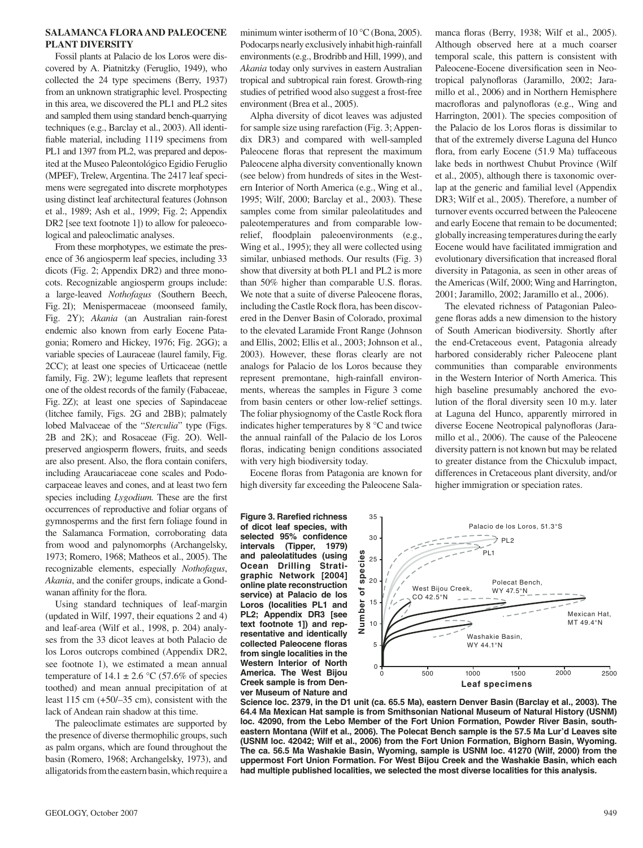### **SALAMANCA FLORA AND PALEOCENE PLANT DIVERSITY**

Fossil plants at Palacio de los Loros were discovered by A. Piatnitzky (Feruglio, 1949), who collected the 24 type specimens (Berry, 1937) from an unknown stratigraphic level. Prospecting in this area, we discovered the PL1 and PL2 sites and sampled them using standard bench-quarrying techniques (e.g., Barclay et al., 2003). All identifiable material, including 1119 specimens from PL1 and 1397 from PL2, was prepared and deposited at the Museo Paleontológico Egidio Feruglio (MPEF), Trelew, Argentina. The 2417 leaf specimens were segregated into discrete morphotypes using distinct leaf architectural features (Johnson et al., 1989; Ash et al., 1999; Fig. 2; Appendix DR2 [see text footnote 1]) to allow for paleoecological and paleoclimatic analyses.

From these morphotypes, we estimate the presence of 36 angiosperm leaf species, including 33 dicots (Fig. 2; Appendix DR2) and three monocots. Recognizable angiosperm groups include: a large-leaved *Nothofagus* (Southern Beech, Fig. 2I); Menispermaceae (moonseed family, Fig. 2Y); *Akania* (an Australian rain-forest endemic also known from early Eocene Patagonia; Romero and Hickey, 1976; Fig. 2GG); a variable species of Lauraceae (laurel family, Fig. 2CC); at least one species of Urticaceae (nettle family, Fig. 2W); legume leaflets that represent one of the oldest records of the family (Fabaceae, Fig. 2Z); at least one species of Sapindaceae (litchee family, Figs. 2G and 2BB); palmately lobed Malvaceae of the "*Sterculia*" type (Figs. 2B and 2K); and Rosaceae (Fig. 2O). Wellpreserved angiosperm flowers, fruits, and seeds are also present. Also, the flora contain conifers, including Araucariaceae cone scales and Podocarpaceae leaves and cones, and at least two fern species including *Lygodium*. These are the first occurrences of reproductive and foliar organs of gymnosperms and the first fern foliage found in the Salamanca Formation, corroborating data from wood and palynomorphs ( Archangelsky, 1973; Romero, 1968; Matheos et al., 2005). The recognizable elements, especially *Nothofagus*, *Akania*, and the conifer groups, indicate a Gondwanan affinity for the flora.

Using standard techniques of leaf-margin (updated in Wilf, 1997, their equations 2 and 4) and leaf-area (Wilf et al., 1998, p. 204) analyses from the 33 dicot leaves at both Palacio de los Loros outcrops combined (Appendix DR2, see footnote 1), we estimated a mean annual temperature of  $14.1 \pm 2.6$  °C (57.6% of species toothed) and mean annual precipitation of at least 115 cm (+50/–35 cm), consistent with the lack of Andean rain shadow at this time.

The paleoclimate estimates are supported by the presence of diverse thermophilic groups, such as palm organs, which are found throughout the basin (Romero, 1968; Archangelsky, 1973), and alligatorids from the eastern basin, which require a minimum winter isotherm of 10 °C (Bona, 2005). Podocarps nearly exclusively inhabit high-rainfall environments (e.g., Brodribb and Hill, 1999), and *Akania* today only survives in eastern Australian tropical and subtropical rain forest. Growth-ring studies of petrified wood also suggest a frost-free environment (Brea et al., 2005).

Alpha diversity of dicot leaves was adjusted for sample size using rarefaction (Fig. 3; Appendix DR3) and compared with well-sampled Paleocene floras that represent the maximum Paleocene alpha diversity conventionally known (see below) from hundreds of sites in the Western Interior of North America (e.g., Wing et al., 1995; Wilf, 2000; Barclay et al., 2003). These samples come from similar paleolatitudes and paleotemperatures and from comparable lowrelief, floodplain paleoenvironments (e.g., Wing et al., 1995); they all were collected using similar, unbiased methods. Our results (Fig. 3) show that diversity at both PL1 and PL2 is more than 50% higher than comparable U.S. floras. We note that a suite of diverse Paleocene floras, including the Castle Rock flora, has been discovered in the Denver Basin of Colorado, proximal to the elevated Laramide Front Range (Johnson and Ellis, 2002; Ellis et al., 2003; Johnson et al., 2003). However, these floras clearly are not analogs for Palacio de los Loros because they represent premontane, high-rainfall environments, whereas the samples in Figure 3 come from basin centers or other low-relief settings. The foliar physiognomy of the Castle Rock flora indicates higher temperatures by 8 °C and twice the annual rainfall of the Palacio de los Loros floras, indicating benign conditions associated with very high biodiversity today.

Eocene floras from Patagonia are known for high diversity far exceeding the Paleocene Sala-

**Figure 3. Rarefied richness of dicot leaf species, with**  selected 95% confidence **intervals (Tipper, 1979) and paleolatitudes (using Ocean Drilling Stratigraphic Network [2004] online plate reconstruction service) at Palacio de los Loros (localities PL1 and PL2; Appendix DR3 [see text footnote 1]) and representative and identically**  collected Paleocene floras **from single localities in the Western Interior of North America. The West Bijou Creek sample is from Denver Museum of Nature and**  manca floras (Berry, 1938; Wilf et al., 2005). Although observed here at a much coarser temporal scale, this pattern is consistent with Paleocene-Eocene diversification seen in Neotropical palynofloras (Jaramillo, 2002; Jaramillo et al., 2006) and in Northern Hemisphere macrofloras and palynofloras (e.g., Wing and Harrington, 2001). The species composition of the Palacio de los Loros floras is dissimilar to that of the extremely diverse Laguna del Hunco flora, from early Eocene (51.9 Ma) tuffaceous lake beds in northwest Chubut Province (Wilf et al., 2005), although there is taxonomic overlap at the generic and familial level (Appendix DR3; Wilf et al., 2005). Therefore, a number of turnover events occurred between the Paleocene and early Eocene that remain to be documented; globally increasing temperatures during the early Eocene would have facilitated immigration and evolutionary diversification that increased floral diversity in Patagonia, as seen in other areas of the Americas (Wilf, 2000; Wing and Harrington, 2001; Jaramillo, 2002; Jaramillo et al., 2006).

The elevated richness of Patagonian Paleogene floras adds a new dimension to the history of South American biodiversity. Shortly after the end-Cretaceous event, Patagonia already harbored considerably richer Paleocene plant communities than comparable environments in the Western Interior of North America. This high baseline presumably anchored the evolution of the floral diversity seen 10 m.y. later at Laguna del Hunco, apparently mirrored in diverse Eocene Neotropical palynofloras (Jaramillo et al., 2006). The cause of the Paleocene diversity pattern is not known but may be related to greater distance from the Chicxulub impact, differences in Cretaceous plant diversity, and/or higher immigration or speciation rates.



**Science loc. 2379, in the D1 unit (ca. 65.5 Ma), eastern Denver Basin (Barclay et al., 2003). The 64.4 Ma Mexican Hat sample is from Smithsonian National Museum of Natural History (USNM) loc. 42090, from the Lebo Member of the Fort Union Formation, Powder River Basin, southeastern Montana (Wilf et al., 2006). The Polecat Bench sample is the 57.5 Ma Lur'd Leaves site (USNM loc. 42042; Wilf et al., 2006) from the Fort Union Formation, Bighorn Basin, Wyoming. The ca. 56.5 Ma Washakie Basin, Wyoming, sample is USNM loc. 41270 (Wilf, 2000) from the uppermost Fort Union Formation. For West Bijou Creek and the Washakie Basin, which each had multiple published localities, we selected the most diverse localities for this analysis.**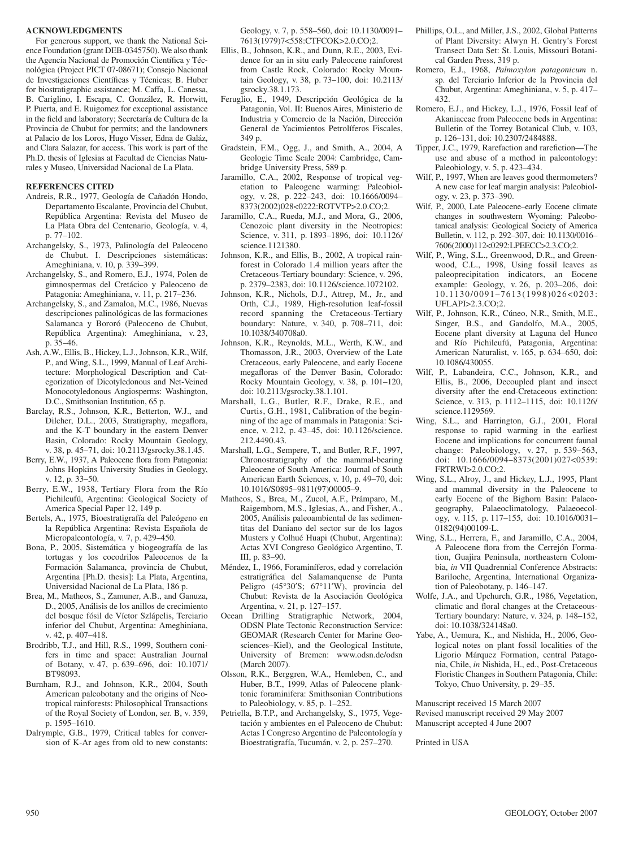#### **ACKNOWLEDGMENTS**

For generous support, we thank the National Science Foundation (grant DEB-0345750). We also thank the Agencia Nacional de Promoción Científica y Técnológica (Project PICT 07-08671); Consejo Nacional de Investigaciones Científicas y Técnicas; B. Huber for biostratigraphic assistance; M. Caffa, L. Canessa, B. Cariglino, I. Escapa, C. González, R. Horwitt, P. Puerta, and E. Ruigomez for exceptional assistance in the field and laboratory; Secretaría de Cultura de la Provincia de Chubut for permits; and the landowners at Palacio de los Loros, Hugo Visser, Edna de Galáz, and Clara Salazar, for access. This work is part of the Ph.D. thesis of Iglesias at Facultad de Ciencias Naturales y Museo, Universidad Nacional de La Plata.

### **REFERENCES CITED**

- Andreis, R.R., 1977, Geología de Cañadón Hondo, Departamento Escalante, Provincia del Chubut, República Argentina: Revista del Museo de La Plata Obra del Centenario, Geología, v. 4, p. 77–102.
- Archangelsky, S., 1973, Palinología del Paleoceno de Chubut. I. Descripciones sistemáticas: Ameghiniana, v. 10, p. 339–399.
- Archangelsky, S., and Romero, E.J., 1974, Polen de gimnospermas del Cretácico y Paleoceno de Patagonia: Ameghiniana, v. 11, p. 217–236.
- Archangelsky, S., and Zamaloa, M.C., 1986, Nuevas descripciones palinológicas de las formaciones Salamanca y Bororó (Paleoceno de Chubut, República Argentina): Ameghiniana, v. 23, p. 35–46.
- Ash, A.W., Ellis, B., Hickey, L.J., Johnson, K.R., Wilf, P., and Wing, S.L., 1999, Manual of Leaf Architecture: Morphological Description and Categorization of Dicotyledonous and Net-Veined Monocotyledonous Angiosperms: Washington, D.C., Smithsonian Institution, 65 p.
- Barclay, R.S., Johnson, K.R., Betterton, W.J., and Dilcher, D.L., 2003, Stratigraphy, megaflora, and the K-T boundary in the eastern Denver Basin, Colorado: Rocky Mountain Geology, v. 38, p. 45–71, doi: 10.2113/gsrocky.38.1.45.
- Berry, E.W., 1937, A Paleocene flora from Patagonia: Johns Hopkins University Studies in Geology, v. 12, p. 33–50.
- Berry, E.W., 1938, Tertiary Flora from the Río Pichileufú, Argentina: Geological Society of America Special Paper 12, 149 p.
- Bertels, A., 1975, Bioestratigrafía del Paleógeno en la República Argentina: Revista Española de Micropaleontología, v. 7, p. 429–450.
- Bona, P., 2005, Sistemática y biogeografía de las tortugas y los cocodrilos Paleocenos de la Formación Salamanca, provincia de Chubut, Argentina [Ph.D. thesis]: La Plata, Argentina, Universidad Nacional de La Plata, 186 p.
- Brea, M., Matheos, S., Zamuner, A.B., and Ganuza, D., 2005, Análisis de los anillos de crecimiento del bosque fósil de Víctor Szlápelis, Terciario inferior del Chubut, Argentina: Ameghiniana, v. 42, p. 407–418.
- Brodribb, T.J., and Hill, R.S., 1999, Southern conifers in time and space: Australian Journal of Botany, v. 47, p. 639–696, doi: 10.1071/ BT98093.
- Burnham, R.J., and Johnson, K.R., 2004, South American paleobotany and the origins of Neotropical rainforests: Philosophical Transactions of the Royal Society of London, ser. B, v. 359, p. 1595–1610.
- Dalrymple, G.B., 1979, Critical tables for conversion of K-Ar ages from old to new constants:

Geology, v. 7, p. 558–560, doi: 10.1130/0091– 7613(1979)7<558:CTFCOK>2.0.CO;2.

- Ellis, B., Johnson, K.R., and Dunn, R.E., 2003, Evidence for an in situ early Paleocene rainforest from Castle Rock, Colorado: Rocky Mountain Geology, v. 38, p. 73–100, doi: 10.2113/ gsrocky.38.1.173.
- Feruglio, E., 1949, Descripción Geológica de la Patagonia, Vol. II: Buenos Aires, Ministerio de Industria y Comercio de la Nación, Dirección General de Yacimientos Petrolíferos Fiscales, 349 p.
- Gradstein, F.M., Ogg, J., and Smith, A., 2004, A Geologic Time Scale 2004: Cambridge, Cambridge University Press, 589 p.
- Jaramillo, C.A., 2002, Response of tropical vegetation to Paleogene warming: Paleobiology, v. 28, p. 222–243, doi: 10.1666/0094– 8373(2002)028<0222:ROTVTP>2.0.CO;2.
- Jaramillo, C.A., Rueda, M.J., and Mora, G., 2006, Cenozoic plant diversity in the Neotropics: Science, v. 311, p. 1893–1896, doi: 10.1126/ science.1121380.
- Johnson, K.R., and Ellis, B., 2002, A tropical rainforest in Colorado 1.4 million years after the Cretaceous-Tertiary boundary: Science, v. 296, p. 2379–2383, doi: 10.1126/science.1072102.
- Johnson, K.R., Nichols, D.J., Attrep, M., Jr., and Orth, C.J., 1989, High-resolution leaf-fossil record spanning the Cretaceous-Tertiary boundary: Nature, v. 340, p. 708–711, doi: 10.1038/340708a0.
- Johnson, K.R., Reynolds, M.L., Werth, K.W., and Thomasson, J.R., 2003, Overview of the Late Cretaceous, early Paleocene, and early Eocene megafloras of the Denver Basin, Colorado: Rocky Mountain Geology, v. 38, p. 101–120, doi: 10.2113/gsrocky.38.1.101.
- Marshall, L.G., Butler, R.F., Drake, R.E., and Curtis, G.H., 1981, Calibration of the beginning of the age of mammals in Patagonia: Science, v. 212, p. 43-45, doi: 10.1126/ science. 212.4490.43.
- Marshall, L.G., Sempere, T., and Butler, R.F., 1997, Chronostratigraphy of the mammal-bearing Paleocene of South America: Journal of South American Earth Sciences, v. 10, p. 49–70, doi: 10.1016/S0895–9811(97)00005–9.
- Matheos, S., Brea, M., Zucol, A.F., Prámparo, M., Raigemborn, M.S., Iglesias, A., and Fisher, A., 2005, Análisis paleoambiental de las sedimentitas del Daniano del sector sur de los lagos Musters y Colhué Huapi (Chubut, Argentina): Actas XVI Congreso Geológico Argentino, T. III, p. 83–90.
- Méndez, I., 1966, Foraminíferos, edad y correlación estratigráfica del Salamanquense de Punta Peligro (45°30′S; 67°11′W), provincia del Chubut: Revista de la Asociación Geológica Argentina, v. 21, p. 127–157.
- Ocean Drilling Stratigraphic Network, 2004, ODSN Plate Tectonic Reconstruction Service: GEOMAR (Research Center for Marine Geosciences–Kiel), and the Geological Institute, University of Bremen: www.odsn.de/odsn (March 2007).
- Olsson, R.K., Berggren, W.A., Hemleben, C., and Huber, B.T., 1999, Atlas of Paleocene planktonic foraminifera: Smithsonian Contributions to Paleobiology, v. 85, p. 1–252.
- Petriella, B.T.P., and Archangelsky, S., 1975, Vegetación y ambientes en el Paleoceno de Chubut: Actas I Congreso Argentino de Paleontología y Bioestratigrafía, Tucumán, v. 2, p. 257–270.
- Phillips, O.L., and Miller, J.S., 2002, Global Patterns of Plant Diversity: Alwyn H. Gentry's Forest Transect Data Set: St. Louis, Missouri Botanical Garden Press, 319 p.
- Romero, E.J., 1968, *Palmoxylon patagonicum* n. sp. del Terciario Inferior de la Provincia del Chubut, Argentina: Ameghiniana, v. 5, p. 417– 432.
- Romero, E.J., and Hickey, L.J., 1976, Fossil leaf of Akaniaceae from Paleocene beds in Argentina: Bulletin of the Torrey Botanical Club, v. 103, p. 126–131, doi: 10.2307/2484888.
- Tipper, J.C., 1979, Rarefaction and rarefiction-The use and abuse of a method in paleontology: Paleobiology, v. 5, p. 423–434.
- Wilf, P., 1997, When are leaves good thermometers? A new case for leaf margin analysis: Paleobiology, v. 23, p. 373–390.
- Wilf, P., 2000, Late Paleocene–early Eocene climate changes in southwestern Wyoming: Paleobotanical analysis: Geological Society of America Bulletin, v. 112, p. 292–307, doi: 10.1130/0016– 7606(2000)112<0292:LPEECC>2.3.CO;2.
- Wilf, P., Wing, S.L., Greenwood, D.R., and Greenwood, C.L., 1998, Using fossil leaves as paleoprecipitation indicators, an Eocene example: Geology, v. 26, p. 203–206, doi: 10.1130/0091–7613(1998)026<0203: UFLAPI>2.3.CO;2.
- Wilf, P., Johnson, K.R., Cúneo, N.R., Smith, M.E., Singer, B.S., and Gandolfo, M.A., 2005, Eocene plant diversity at Laguna del Hunco and Río Pichileufú, Patagonia, Argentina: American Naturalist, v. 165, p. 634–650, doi: 10.1086/430055.
- Wilf, P., Labandeira, C.C., Johnson, K.R., and Ellis, B., 2006, Decoupled plant and insect diversity after the end-Cretaceous extinction: Science, v. 313, p. 1112–1115, doi: 10.1126/ science .1129569.
- Wing, S.L., and Harrington, G.J., 2001, Floral response to rapid warming in the earliest Eocene and implications for concurrent faunal change: Paleobiology, v. 27, p. 539–563, doi: 10.1666/0094–8373(2001)027<0539: FRTRWI>2.0.CO;2.
- Wing, S.L., Alroy, J., and Hickey, L.J., 1995, Plant and mammal diversity in the Paleocene to early Eocene of the Bighorn Basin: Palaeogeography, Palaeoclimatology, Palaeoecology, v. 115, p. 117–155, doi: 10.1016/0031– 0182(94)00109-L.
- Wing, S.L., Herrera, F., and Jaramillo, C.A., 2004, A Paleocene flora from the Cerrejón Formation, Guajira Peninsula, northeastern Colombia, *in* VII Quadrennial Conference Abstracts: Bariloche, Argentina, International Organization of Paleobotany, p. 146–147.
- Wolfe, J.A., and Upchurch, G.R., 1986, Vegetation, climatic and floral changes at the Cretaceous-Tertiary boundary: Nature, v. 324, p. 148–152, doi: 10.1038/324148a0.
- Yabe, A., Uemura, K., and Nishida, H., 2006, Geological notes on plant fossil localities of the Ligorio Márquez Formation, central Patagonia, Chile, *in* Nishida, H., ed., Post-Cretaceous Floristic Changes in Southern Patagonia, Chile: Tokyo, Chuo University, p. 29–35.

Manuscript received 15 March 2007 Revised manuscript received 29 May 2007 Manuscript accepted 4 June 2007

Printed in USA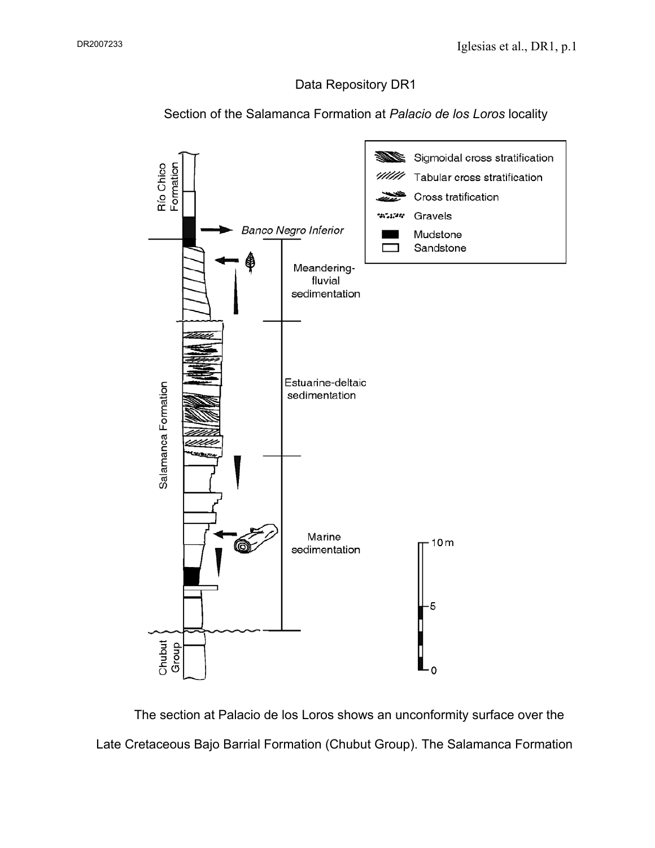## Data Repository DR1

Section of the Salamanca Formation at *Palacio de los Loros* locality



The section at Palacio de los Loros shows an unconformity surface over the Late Cretaceous Bajo Barrial Formation (Chubut Group). The Salamanca Formation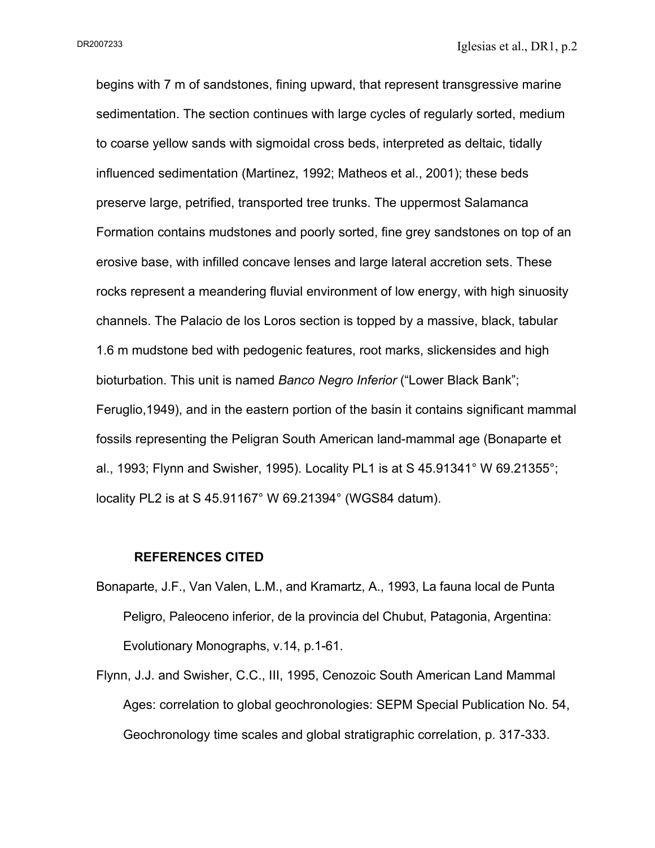DR2007233

begins with 7 m of sandstones, fining upward, that represent transgressive marine sedimentation. The section continues with large cycles of regularly sorted, medium to coarse yellow sands with sigmoidal cross beds, interpreted as deltaic, tidally influenced sedimentation (Martinez, 1992; Matheos et al., 2001); these beds preserve large, petrified, transported tree trunks. The uppermost Salamanca Formation contains mudstones and poorly sorted, fine grey sandstones on top of an erosive base, with infilled concave lenses and large lateral accretion sets. These rocks represent a meandering fluvial environment of low energy, with high sinuosity channels. The Palacio de los Loros section is topped by a massive, black, tabular 1.6 m mudstone bed with pedogenic features, root marks, slickensides and high bioturbation. This unit is named *Banco Negro Inferior* ("Lower Black Bank"; Feruglio,1949), and in the eastern portion of the basin it contains significant mammal fossils representing the Peligran South American land-mammal age (Bonaparte et al., 1993; Flynn and Swisher, 1995). Locality PL1 is at S 45.91341° W 69.21355°; locality PL2 is at S 45.91167° W 69.21394° (WGS84 datum).

### **REFERENCES CITED**

- Bonaparte, J.F., Van Valen, L.M., and Kramartz, A., 1993, La fauna local de Punta Peligro, Paleoceno inferior, de la provincia del Chubut, Patagonia, Argentina: Evolutionary Monographs, v.14, p.1-61.
- Flynn, J.J. and Swisher, C.C., III, 1995, Cenozoic South American Land Mammal Ages: correlation to global geochronologies: SEPM Special Publication No. 54, Geochronology time scales and global stratigraphic correlation, p. 317-333.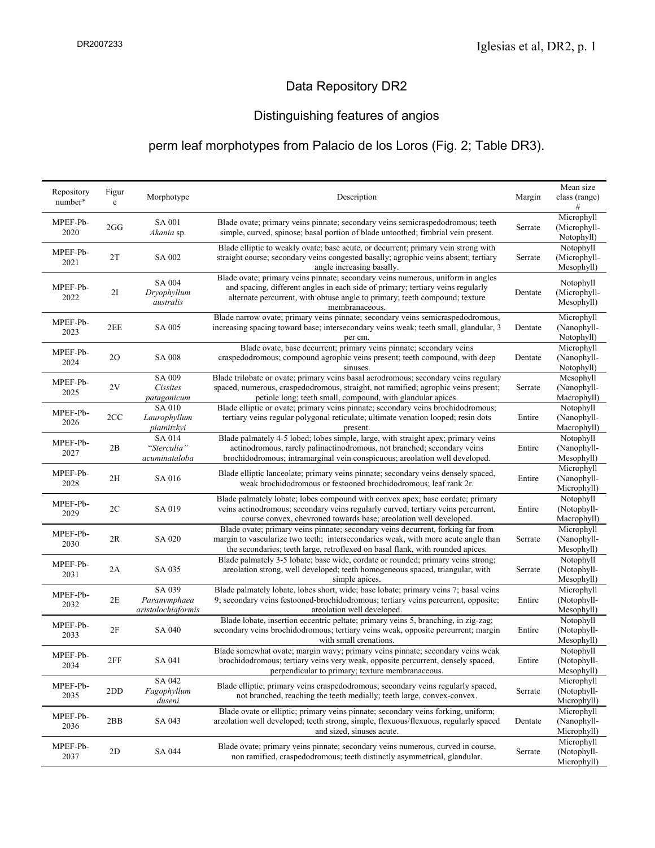## Data Repository DR2

## Distinguishing features of angios

## perm leaf morphotypes from Palacio de los Loros (Fig. 2; Table DR3).

| Repository<br>number* | Figur<br>e | Morphotype                                   | Description                                                                                                                                                                                            | Margin  | Mean size                  |
|-----------------------|------------|----------------------------------------------|--------------------------------------------------------------------------------------------------------------------------------------------------------------------------------------------------------|---------|----------------------------|
|                       |            |                                              |                                                                                                                                                                                                        |         | class (range)<br>#         |
| MPEF-Pb-              |            | <b>SA 001</b>                                | Blade ovate; primary veins pinnate; secondary veins semicraspedodromous; teeth                                                                                                                         |         | Microphyll                 |
| 2020                  | 2GG        | Akania sp.                                   | simple, curved, spinose; basal portion of blade untoothed; fimbrial vein present.                                                                                                                      | Serrate | (Microphyll-               |
|                       |            |                                              |                                                                                                                                                                                                        |         | Notophyll)                 |
| MPEF-Pb-<br>2021      | 2T         | SA 002                                       | Blade elliptic to weakly ovate; base acute, or decurrent; primary vein strong with<br>straight course; secondary veins congested basally; agrophic veins absent; tertiary                              | Serrate | Notophyll<br>(Microphyll-  |
|                       |            |                                              | angle increasing basally.                                                                                                                                                                              |         | Mesophyll)                 |
|                       |            |                                              | Blade ovate; primary veins pinnate; secondary veins numerous, uniform in angles                                                                                                                        |         |                            |
| MPEF-Pb-<br>2022      | 2I         | SA 004<br>Dryophyllum<br>australis           | and spacing, different angles in each side of primary; tertiary veins regularly                                                                                                                        | Dentate | Notophyll                  |
|                       |            |                                              | alternate percurrent, with obtuse angle to primary; teeth compound; texture                                                                                                                            |         | (Microphyll-<br>Mesophyll) |
|                       |            |                                              | membranaceous.                                                                                                                                                                                         |         |                            |
| MPEF-Pb-<br>2023      | 2EE        | <b>SA 005</b>                                | Blade narrow ovate; primary veins pinnate; secondary veins semicraspedodromous,<br>increasing spacing toward base; intersecondary veins weak; teeth small, glandular, 3<br>per cm.                     | Dentate | Microphyll                 |
|                       |            |                                              |                                                                                                                                                                                                        |         | (Nanophyll-<br>Notophyll)  |
|                       |            |                                              | Blade ovate, base decurrent; primary veins pinnate; secondary veins                                                                                                                                    |         | Microphyll                 |
| MPEF-Pb-              | 20         | SA 008                                       | craspedodromous; compound agrophic veins present; teeth compound, with deep                                                                                                                            | Dentate | (Nanophyll-                |
| 2024                  |            |                                              | sinuses.                                                                                                                                                                                               |         | Notophyll)                 |
| MPEF-Pb-              |            | SA 009                                       | Blade trilobate or ovate; primary veins basal acrodromous; secondary veins regulary                                                                                                                    |         | Mesophyll                  |
| 2025                  | 2V         | Cissites                                     | spaced, numerous, craspedodromous, straight, not ramified; agrophic veins present;                                                                                                                     | Serrate | (Nanophyll-                |
|                       |            | patagonicum                                  | petiole long; teeth small, compound, with glandular apices.                                                                                                                                            |         | Macrophyll)                |
| MPEF-Pb-              |            | SA 010                                       | Blade elliptic or ovate; primary veins pinnate; secondary veins brochidodromous;                                                                                                                       | Entire  | Notophyll<br>(Nanophyll-   |
| 2026                  | 2CC        | Laurophyllum<br>piatnitzkyi                  | tertiary veins regular polygonal reticulate; ultimate venation looped; resin dots<br>present.                                                                                                          |         | Macrophyll)                |
|                       | 2B         | SA 014<br>"Sterculia"<br>acuminataloba       | Blade palmately 4-5 lobed; lobes simple, large, with straight apex; primary veins                                                                                                                      | Entire  | Notophyll                  |
| MPEF-Pb-              |            |                                              | actinodromous, rarely palinactinodromous, not branched; secondary veins                                                                                                                                |         | (Nanophyll-                |
| 2027                  |            |                                              | brochidodromous; intramarginal vein conspicuous; areolation well developed.                                                                                                                            |         | Mesophyll)                 |
| MPEF-Pb-              | 2H         | SA 016                                       | Blade elliptic lanceolate; primary veins pinnate; secondary veins densely spaced,<br>weak brochidodromous or festooned brochidodromous; leaf rank 2r.                                                  | Entire  | Microphyll                 |
| 2028                  |            |                                              |                                                                                                                                                                                                        |         | (Nanophyll-                |
|                       |            |                                              |                                                                                                                                                                                                        |         | Microphyll)                |
| MPEF-Pb-              | 2C         |                                              | Blade palmately lobate; lobes compound with convex apex; base cordate; primary<br>veins actinodromous; secondary veins regularly curved; tertiary veins percurrent,                                    |         | Notophyll<br>(Notophyll-   |
| 2029                  |            | SA 019                                       | course convex, chevroned towards base; areolation well developed.                                                                                                                                      | Entire  | Macrophyll)                |
|                       | 2R         | SA 020                                       | Blade ovate; primary veins pinnate; secondary veins decurrent, forking far from                                                                                                                        | Serrate | Microphyll                 |
| MPEF-Pb-              |            |                                              | margin to vascularize two teeth; intersecondaries weak, with more acute angle than                                                                                                                     |         | (Nanophyll-                |
| 2030                  |            |                                              | the secondaries; teeth large, retroflexed on basal flank, with rounded apices.                                                                                                                         |         | Mesophyll)                 |
| MPEF-Pb-              |            |                                              | Blade palmately 3-5 lobate; base wide, cordate or rounded; primary veins strong;                                                                                                                       |         | Notophyll                  |
| 2031                  | 2A         | SA 035                                       | areolation strong, well developed; teeth homogeneous spaced, triangular, with                                                                                                                          | Serrate | (Notophyll-                |
|                       |            |                                              | simple apices.                                                                                                                                                                                         |         | Mesophyll)                 |
| MPEF-Pb-<br>2032      | 2E         | SA 039<br>Paranymphaea<br>aristolochiaformis | Blade palmately lobate, lobes short, wide; base lobate; primary veins 7; basal veins<br>9; secondary veins festooned-brochidodromous; tertiary veins percurrent, opposite;                             | Entire  | Microphyll<br>(Notophyll-  |
|                       |            |                                              | areolation well developed.                                                                                                                                                                             |         | Mesophyll)                 |
|                       |            |                                              | Blade lobate, insertion eccentric peltate; primary veins 5, branching, in zig-zag;                                                                                                                     |         | Notophyll                  |
| MPEF-Pb-              | 2F         | SA 040                                       | secondary veins brochidodromous; tertiary veins weak, opposite percurrent; margin                                                                                                                      | Entire  | (Notophyll-                |
| 2033                  |            |                                              | with small crenations.                                                                                                                                                                                 |         | Mesophyll)                 |
| MPEF-Pb-              | 2FF        | SA 041                                       | Blade somewhat ovate; margin wavy; primary veins pinnate; secondary veins weak<br>brochidodromous; tertiary veins very weak, opposite percurrent, densely spaced,                                      | Entire  | Notophyll                  |
| 2034                  |            |                                              |                                                                                                                                                                                                        |         | (Notophyll-                |
|                       |            |                                              | perpendicular to primary; texture membranaceous.                                                                                                                                                       |         | Mesophyll)                 |
| MPEF-Pb-              | 2DD        | SA 042<br>Fagophyllum<br>duseni              | Blade elliptic; primary veins craspedodromous; secondary veins regularly spaced,                                                                                                                       | Serrate | Microphyll<br>(Notophyll-  |
| 2035                  |            |                                              | not branched, reaching the teeth medially; teeth large, convex-convex.                                                                                                                                 |         | Microphyll)                |
| MPEF-Pb-<br>2036      | 2BB        | SA 043                                       | Blade ovate or elliptic; primary veins pinnate; secondary veins forking, uniform;<br>areolation well developed; teeth strong, simple, flexuous/flexuous, regularly spaced<br>and sized, sinuses acute. | Dentate | Microphyll                 |
|                       |            |                                              |                                                                                                                                                                                                        |         | (Nanophyll-                |
|                       |            |                                              |                                                                                                                                                                                                        |         | Microphyll)                |
| MPEF-Pb-<br>2037      | 2D         | SA 044                                       | Blade ovate; primary veins pinnate; secondary veins numerous, curved in course,<br>non ramified, craspedodromous; teeth distinctly asymmetrical, glandular.                                            | Serrate | Microphyll                 |
|                       |            |                                              |                                                                                                                                                                                                        |         | (Notophyll-                |
|                       |            |                                              |                                                                                                                                                                                                        |         | Microphyll)                |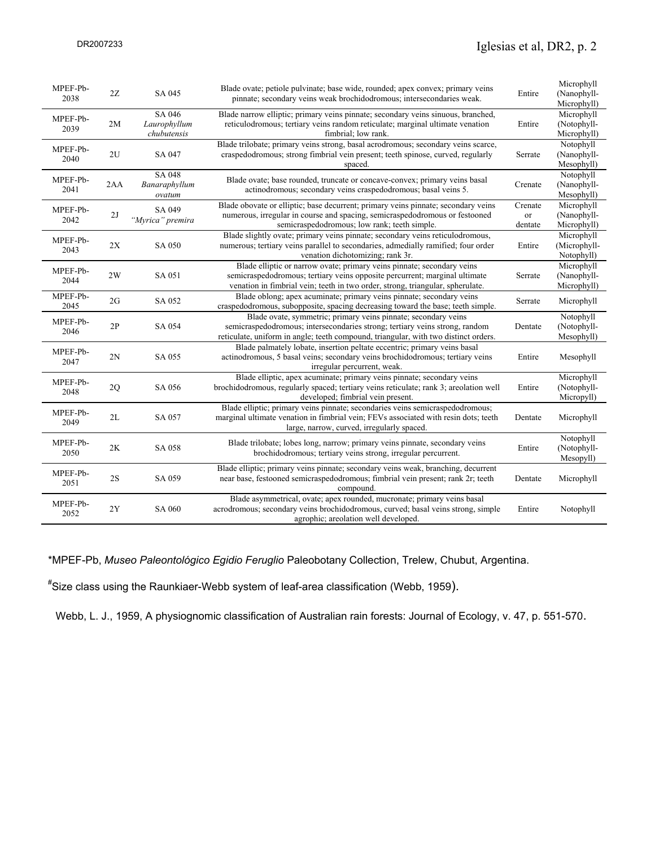| MPEF-Pb-<br>2038 | 2Z  | SA 045                            | Blade ovate; petiole pulvinate; base wide, rounded; apex convex; primary veins<br>pinnate; secondary veins weak brochidodromous; intersecondaries weak.                                                                                | Entire        | Microphyll<br>(Nanophyll-                |
|------------------|-----|-----------------------------------|----------------------------------------------------------------------------------------------------------------------------------------------------------------------------------------------------------------------------------------|---------------|------------------------------------------|
|                  |     | SA 046                            | Blade narrow elliptic; primary veins pinnate; secondary veins sinuous, branched,                                                                                                                                                       |               | Microphyll)<br>Microphyll                |
| MPEF-Pb-<br>2039 | 2M  | Laurophyllum<br>chubutensis       | reticulodromous; tertiary veins random reticulate; marginal ultimate venation<br>fimbrial; low rank.                                                                                                                                   | Entire        | (Notophyll-<br>Microphyll)               |
| MPEF-Pb-         |     |                                   | Blade trilobate; primary veins strong, basal acrodromous; secondary veins scarce,                                                                                                                                                      |               | Notophyll                                |
| 2040             | 2U  | SA 047                            | craspedodromous; strong fimbrial vein present; teeth spinose, curved, regularly<br>spaced.                                                                                                                                             | Serrate       | (Nanophyll-<br>Mesophyll)                |
| MPEF-Pb-<br>2041 | 2AA | SA 048<br>Banaraphyllum<br>ovatum | Blade ovate; base rounded, truncate or concave-convex; primary veins basal<br>actinodromous; secondary veins craspedodromous; basal veins 5.                                                                                           | Crenate       | Notophyll<br>(Nanophyll-<br>Mesophyll)   |
| MPEF-Pb-         |     | SA 049                            | Blade obovate or elliptic; base decurrent; primary veins pinnate; secondary veins                                                                                                                                                      | Crenate       | Microphyll                               |
| 2042             | 2J  | "Myrica" premira                  | numerous, irregular in course and spacing, semicraspedodromous or festooned<br>semicraspedodromous; low rank; teeth simple.                                                                                                            | or<br>dentate | (Nanophyll-<br>Microphyll)               |
| MPEF-Pb-<br>2043 | 2X  | SA 050                            | Blade slightly ovate; primary veins pinnate; secondary veins reticulodromous,<br>numerous; tertiary veins parallel to secondaries, admedially ramified; four order<br>venation dichotomizing; rank 3r.                                 | Entire        | Microphyll<br>(Microphyll-<br>Notophyll) |
| MPEF-Pb-<br>2044 | 2W  | SA 051                            | Blade elliptic or narrow ovate; primary veins pinnate; secondary veins<br>semicraspedodromous; tertiary veins opposite percurrent; marginal ultimate<br>venation in fimbrial vein; teeth in two order, strong, triangular, spherulate. | Serrate       | Microphyll<br>(Nanophyll-<br>Microphyll) |
| MPEF-Pb-<br>2045 | 2G  | SA 052                            | Blade oblong; apex acuminate; primary veins pinnate; secondary veins<br>craspedodromous, subopposite, spacing decreasing toward the base; teeth simple.                                                                                | Serrate       | Microphyll                               |
| MPEF-Pb-<br>2046 | 2P  | SA 054                            | Blade ovate, symmetric; primary veins pinnate; secondary veins<br>semicraspedodromous; intersecondaries strong; tertiary veins strong, random<br>reticulate, uniform in angle; teeth compound, triangular, with two distinct orders.   | Dentate       | Notophyll<br>(Notophyll-<br>Mesophyll)   |
| MPEF-Pb-<br>2047 | 2N  | SA 055                            | Blade palmately lobate, insertion peltate eccentric; primary veins basal<br>actinodromous, 5 basal veins; secondary veins brochidodromous; tertiary veins<br>irregular percurrent, weak.                                               | Entire        | Mesophyll                                |
| MPEF-Pb-<br>2048 | 2Q  | SA 056                            | Blade elliptic, apex acuminate; primary veins pinnate; secondary veins<br>brochidodromous, regularly spaced; tertiary veins reticulate; rank 3; are olation well<br>developed; fimbrial vein present.                                  | Entire        | Microphyll<br>(Notophyll-<br>Micropyll)  |
| MPEF-Pb-<br>2049 | 2L  | SA 057                            | Blade elliptic; primary veins pinnate; secondaries veins semicraspedodromous;<br>marginal ultimate venation in fimbrial vein; FEVs associated with resin dots; teeth<br>large, narrow, curved, irregularly spaced.                     | Dentate       | Microphyll                               |
| MPEF-Pb-<br>2050 | 2K  | SA 058                            | Blade trilobate; lobes long, narrow; primary veins pinnate, secondary veins<br>brochidodromous; tertiary veins strong, irregular percurrent.                                                                                           | Entire        | Notophyll<br>(Notophyll-<br>Mesopyll)    |
| MPEF-Pb-<br>2051 | 2S  | SA 059                            | Blade elliptic; primary veins pinnate; secondary veins weak, branching, decurrent<br>near base, festooned semicraspedodromous; fimbrial vein present; rank 2r; teeth<br>compound.                                                      | Dentate       | Microphyll                               |
| MPEF-Pb-<br>2052 | 2Y  | SA 060                            | Blade asymmetrical, ovate; apex rounded, mucronate; primary veins basal<br>acrodromous; secondary veins brochidodromous, curved; basal veins strong, simple<br>agrophic; areolation well developed.                                    | Entire        | Notophyll                                |

\*MPEF-Pb, *Museo Paleontológico Egidio Feruglio* Paleobotany Collection, Trelew, Chubut, Argentina.

# Size class using the Raunkiaer-Webb system of leaf-area classification (Webb, 1959).

Webb, L. J., 1959, A physiognomic classification of Australian rain forests: Journal of Ecology, v. 47, p. 551-570.